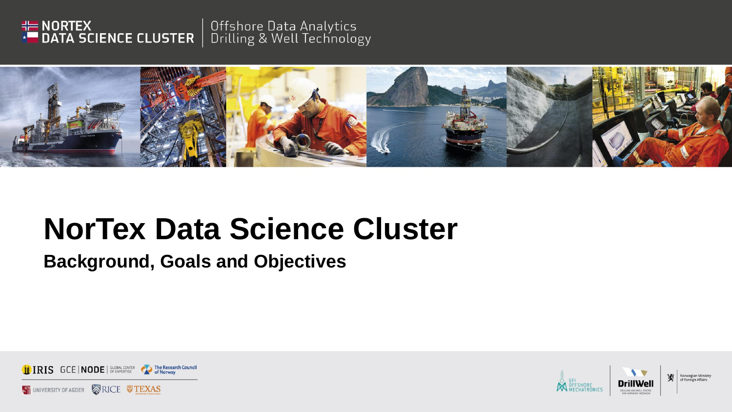



#### **Background, Goals and Objectives**



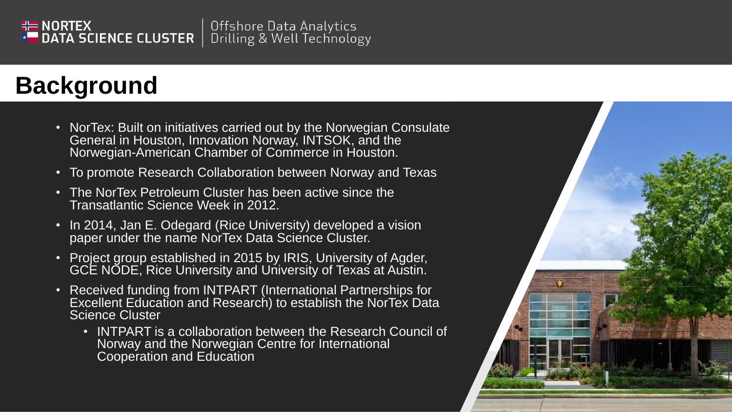#### $H = \text{NORTEX}$ Offshore Data Analytics DATA SCIENCE CLUSTER Drilling & Well Technology

## **Background**

- NorTex: Built on initiatives carried out by the Norwegian Consulate General in Houston, Innovation Norway, INTSOK, and the Norwegian-American Chamber of Commerce in Houston.
- To promote Research Collaboration between Norway and Texas
- The NorTex Petroleum Cluster has been active since the Transatlantic Science Week in 2012.
- In 2014, Jan E. Odegard (Rice University) developed a vision paper under the name NorTex Data Science Cluster.
- Project group established in 2015 by IRIS, University of Agder, GCE NODE, Rice University and University of Texas at Austin.
- Received funding from INTPART (International Partnerships for Excellent Education and Research) to establish the NorTex Data Science Cluster
	- INTPART is a collaboration between the Research Council of Norway and the Norwegian Centre for International Cooperation and Education

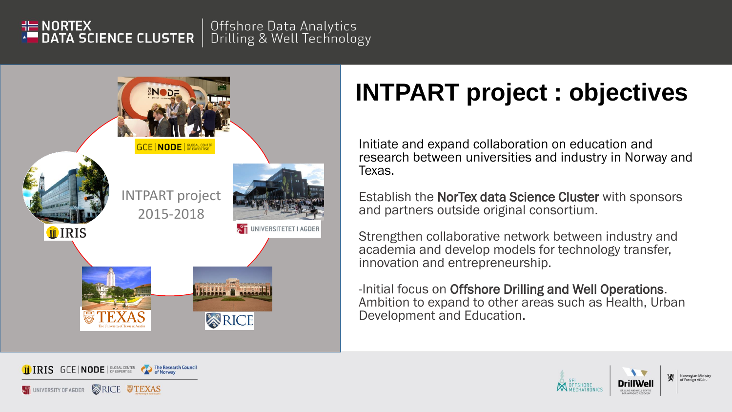#### Offshore Data Analytics  $H = \text{NORTEX}$ DATA SCIENCE CLUSTER Drilling & Well Technology



# **INTPART project : objectives**

Initiate and expand collaboration on education and research between universities and industry in Norway and Texas.

Establish the NorTex data Science Cluster with sponsors and partners outside original consortium.

Strengthen collaborative network between industry and academia and develop models for technology transfer, innovation and entrepreneurship.

-Initial focus on Offshore Drilling and Well Operations. Ambition to expand to other areas such as Health, Urban Development and Education.



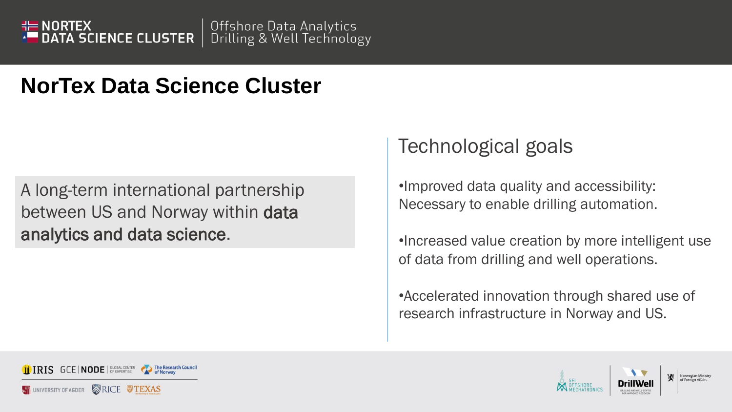

A long-term international partnership between US and Norway within data analytics and data science.

### Technological goals

•Improved data quality and accessibility: Necessary to enable drilling automation.

•Increased value creation by more intelligent use of data from drilling and well operations.

•Accelerated innovation through shared use of research infrastructure in Norway and US.



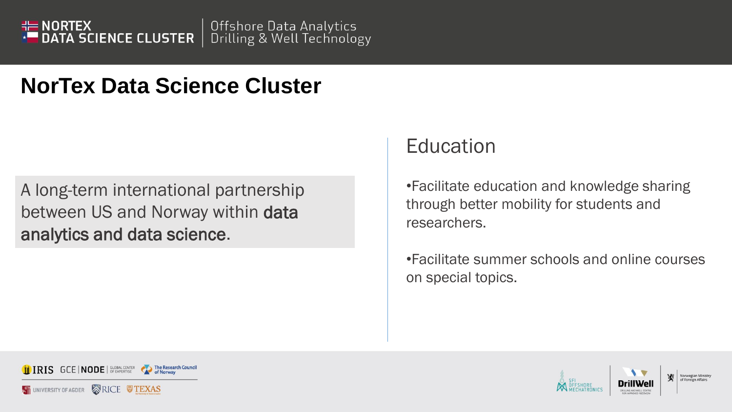

A long-term international partnership between US and Norway within data analytics and data science.

#### **Education**

•Facilitate education and knowledge sharing through better mobility for students and researchers.

•Facilitate summer schools and online courses on special topics.



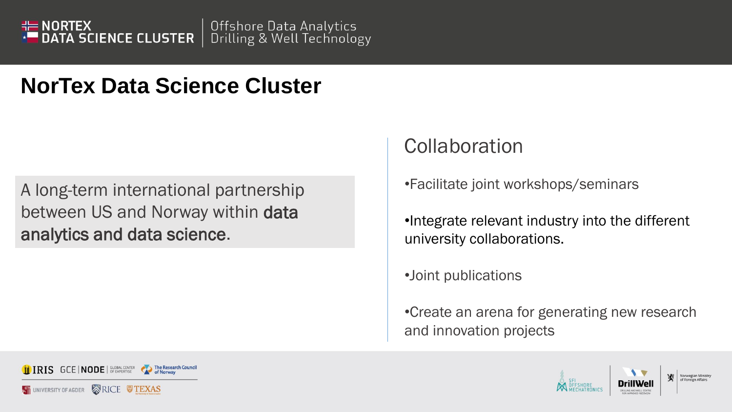

A long-term international partnership between US and Norway within data analytics and data science.

#### Collaboration

•Facilitate joint workshops/seminars

•Integrate relevant industry into the different university collaborations.

•Joint publications

•Create an arena for generating new research and innovation projects



TEXAS